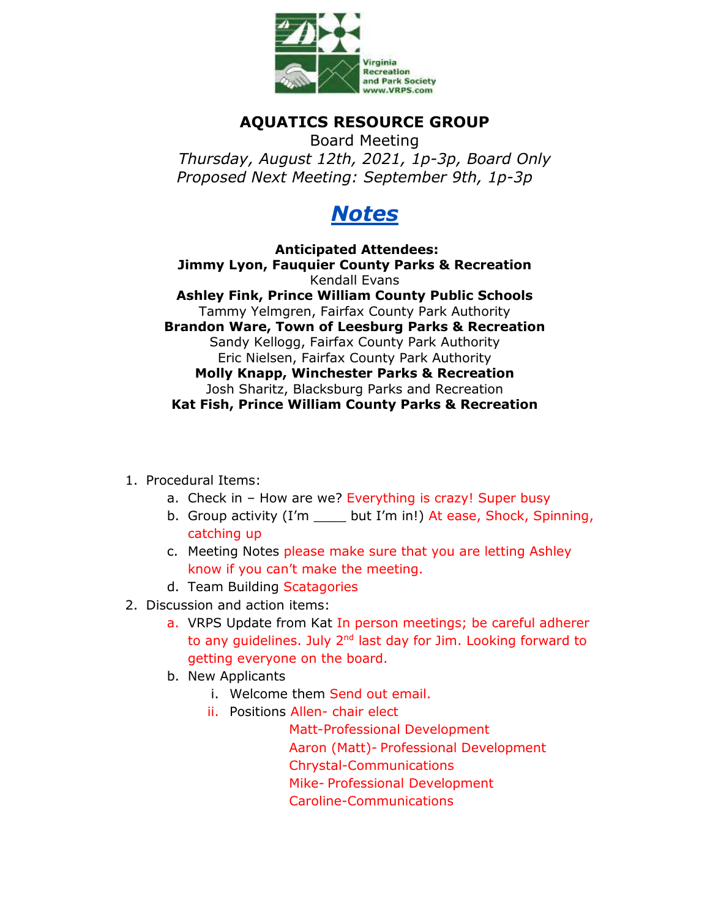

## **AQUATICS RESOURCE GROUP**

Board Meeting *Thursday, August 12th, 2021, 1p-3p, Board Only Proposed Next Meeting: September 9th, 1p-3p*

## *Notes*

**Anticipated Attendees: Jimmy Lyon, Fauquier County Parks & Recreation**  Kendall Evans **Ashley Fink, Prince William County Public Schools**  Tammy Yelmgren, Fairfax County Park Authority **Brandon Ware, Town of Leesburg Parks & Recreation**  Sandy Kellogg, Fairfax County Park Authority Eric Nielsen, Fairfax County Park Authority **Molly Knapp, Winchester Parks & Recreation** Josh Sharitz, Blacksburg Parks and Recreation **Kat Fish, Prince William County Parks & Recreation** 

- 1. Procedural Items:
	- a. Check in How are we? Everything is crazy! Super busy
	- b. Group activity (I'm \_\_\_\_ but I'm in!) At ease, Shock, Spinning, catching up
	- c. Meeting Notes please make sure that you are letting Ashley know if you can't make the meeting.
	- d. Team Building Scatagories
- 2. Discussion and action items:
	- a. VRPS Update from Kat In person meetings; be careful adherer to any guidelines. July  $2<sup>nd</sup>$  last day for Jim. Looking forward to getting everyone on the board.
	- b. New Applicants
		- i. Welcome them Send out email.
		- ii. Positions Allen- chair elect

 Matt-Professional Development Aaron (Matt)- Professional Development Chrystal-Communications Mike- Professional Development Caroline-Communications